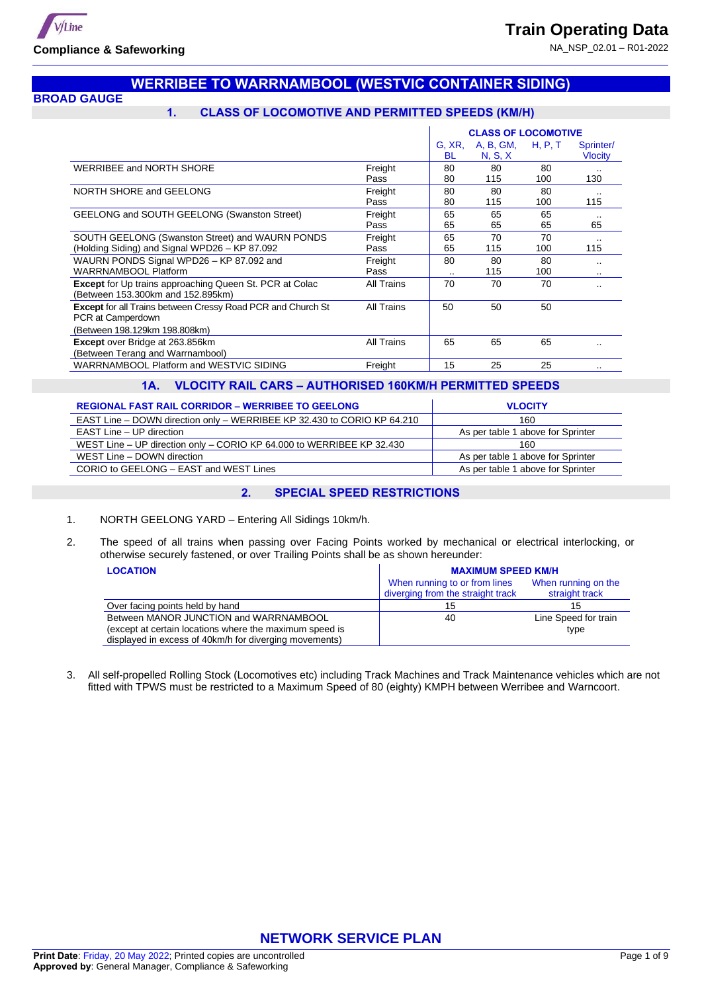

## **WERRIBEE TO WARRNAMBOOL (WESTVIC CONTAINER SIDING)**

**BROAD GAUGE**

# **1. CLASS OF LOCOMOTIVE AND PERMITTED SPEEDS (KM/H)**

|                                                                                                                          |                 |                     | <b>CLASS OF LOCOMOTIVE</b> |           |                             |
|--------------------------------------------------------------------------------------------------------------------------|-----------------|---------------------|----------------------------|-----------|-----------------------------|
|                                                                                                                          |                 | G, XR,<br><b>BL</b> | A, B, GM,<br>N, S, X       | H, P, T   | Sprinter/<br><b>Vlocity</b> |
| WERRIBEE and NORTH SHORE                                                                                                 | Freight<br>Pass | 80<br>80            | 80<br>115                  | 80<br>100 | <br>130                     |
| NORTH SHORE and GEELONG                                                                                                  | Freight<br>Pass | 80<br>80            | 80<br>115                  | 80<br>100 | <br>115                     |
| <b>GEELONG and SOUTH GEELONG (Swanston Street)</b>                                                                       | Freight<br>Pass | 65<br>65            | 65<br>65                   | 65<br>65  | $\cdot$ .<br>65             |
| SOUTH GEELONG (Swanston Street) and WAURN PONDS<br>(Holding Siding) and Signal WPD26 - KP 87.092                         | Freight<br>Pass | 65<br>65            | 70<br>115                  | 70<br>100 | <br>115                     |
| WAURN PONDS Signal WPD26 - KP 87.092 and<br><b>WARRNAMBOOL Platform</b>                                                  | Freight<br>Pass | 80<br>              | 80<br>115                  | 80<br>100 | $\cdot$ .<br>$\cdot$ .      |
| <b>Except</b> for Up trains approaching Queen St. PCR at Colac<br>(Between 153.300km and 152.895km)                      | All Trains      | 70                  | 70                         | 70        | $\cdot$ .                   |
| <b>Except for all Trains between Cressy Road PCR and Church St</b><br>PCR at Camperdown<br>(Between 198.129km 198.808km) | All Trains      | 50                  | 50                         | 50        |                             |
| <b>Except</b> over Bridge at 263.856km<br>(Between Terang and Warrnambool)                                               | All Trains      | 65                  | 65                         | 65        |                             |
| WARRNAMBOOL Platform and WESTVIC SIDING                                                                                  | Freight         | 15                  | 25                         | 25        |                             |

## **1A. VLOCITY RAIL CARS – AUTHORISED 160KM/H PERMITTED SPEEDS**

| <b>REGIONAL FAST RAIL CORRIDOR - WERRIBEE TO GEELONG</b>                | <b>VLOCITY</b>                    |
|-------------------------------------------------------------------------|-----------------------------------|
| EAST Line – DOWN direction only – WERRIBEE KP 32.430 to CORIO KP 64.210 | 160                               |
| EAST Line - UP direction                                                | As per table 1 above for Sprinter |
| WEST Line - UP direction only - CORIO KP 64.000 to WERRIBEE KP 32.430   | 160                               |
| WEST Line - DOWN direction                                              | As per table 1 above for Sprinter |
| CORIO to GEELONG - EAST and WEST Lines                                  | As per table 1 above for Sprinter |

### **2. SPECIAL SPEED RESTRICTIONS**

- 1. NORTH GEELONG YARD Entering All Sidings 10km/h.
- 2. The speed of all trains when passing over Facing Points worked by mechanical or electrical interlocking, or otherwise securely fastened, or over Trailing Points shall be as shown hereunder:

| <b>LOCATION</b>                                                                                                   | <b>MAXIMUM SPEED KM/H</b>                                          |                                       |  |  |
|-------------------------------------------------------------------------------------------------------------------|--------------------------------------------------------------------|---------------------------------------|--|--|
|                                                                                                                   | When running to or from lines<br>diverging from the straight track | When running on the<br>straight track |  |  |
| Over facing points held by hand                                                                                   | 15                                                                 | 15                                    |  |  |
| Between MANOR JUNCTION and WARRNAMBOOL                                                                            | 40                                                                 | Line Speed for train                  |  |  |
| (except at certain locations where the maximum speed is<br>displayed in excess of 40km/h for diverging movements) |                                                                    | type                                  |  |  |

3. All self-propelled Rolling Stock (Locomotives etc) including Track Machines and Track Maintenance vehicles which are not fitted with TPWS must be restricted to a Maximum Speed of 80 (eighty) KMPH between Werribee and Warncoort.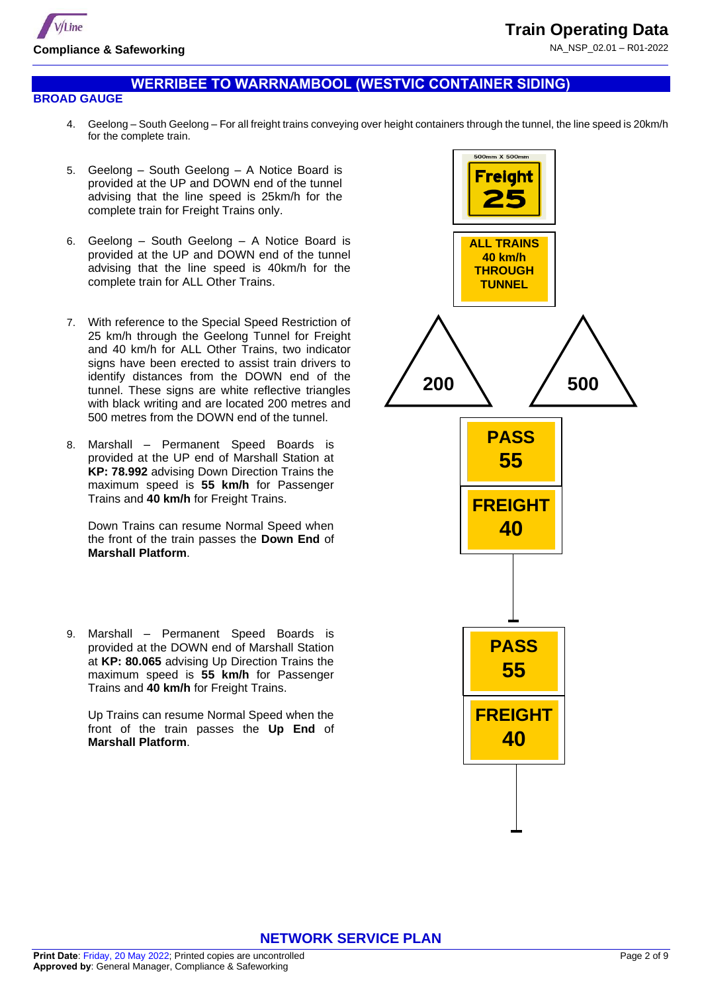

## **WERRIBEE TO WARRNAMBOOL (WESTVIC CONTAINER SIDING)**

#### **BROAD GAUGE**

- 4. Geelong South Geelong For all freight trains conveying over height containers through the tunnel, the line speed is 20km/h for the complete train.
- 5. Geelong South Geelong A Notice Board is provided at the UP and DOWN end of the tunnel advising that the line speed is 25km/h for the complete train for Freight Trains only.
- 6. Geelong South Geelong A Notice Board is provided at the UP and DOWN end of the tunnel advising that the line speed is 40km/h for the complete train for ALL Other Trains.
- 7. With reference to the Special Speed Restriction of 25 km/h through the Geelong Tunnel for Freight and 40 km/h for ALL Other Trains, two indicator signs have been erected to assist train drivers to identify distances from the DOWN end of the tunnel. These signs are white reflective triangles with black writing and are located 200 metres and 500 metres from the DOWN end of the tunnel.
- 8. Marshall Permanent Speed Boards is provided at the UP end of Marshall Station at **KP: 78.992** advising Down Direction Trains the maximum speed is **55 km/h** for Passenger Trains and **40 km/h** for Freight Trains.

Down Trains can resume Normal Speed when the front of the train passes the **Down End** of **Marshall Platform**.

9. Marshall – Permanent Speed Boards is provided at the DOWN end of Marshall Station at **KP: 80.065** advising Up Direction Trains the maximum speed is **55 km/h** for Passenger Trains and **40 km/h** for Freight Trains.

Up Trains can resume Normal Speed when the front of the train passes the **Up End** of **Marshall Platform**.

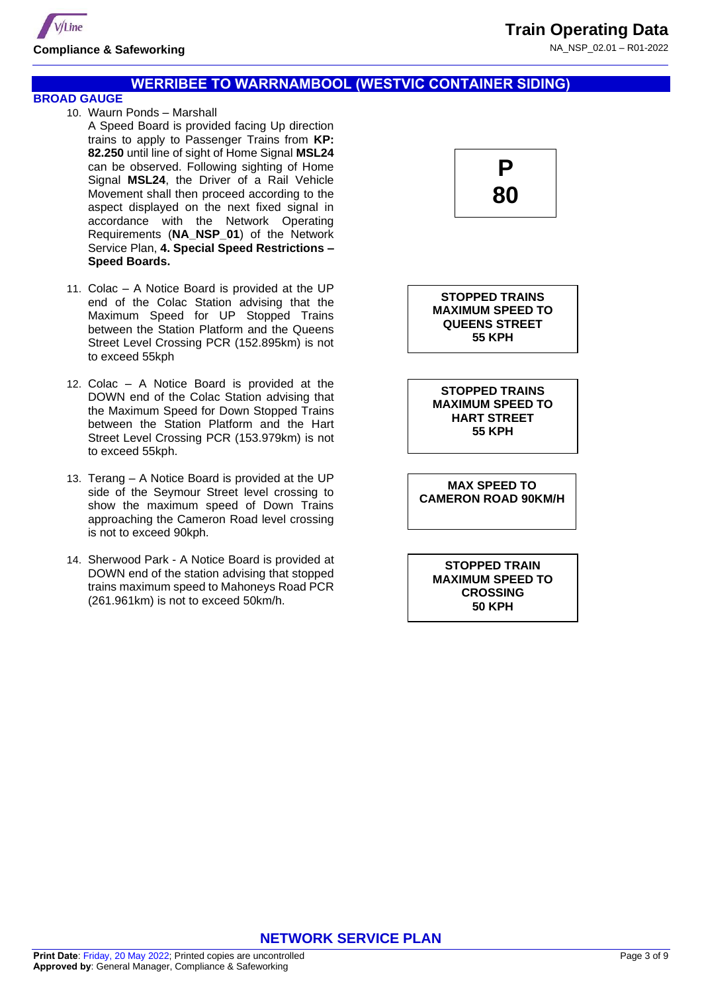

### **WERRIBEE TO WARRNAMBOOL (WESTVIC CONTAINER SIDING)**

## **BROAD GAUGE**

- 10. Waurn Ponds Marshall A Speed Board is provided facing Up direction trains to apply to Passenger Trains from **KP: 82.250** until line of sight of Home Signal **MSL24** can be observed. Following sighting of Home Signal **MSL24**, the Driver of a Rail Vehicle Movement shall then proceed according to the aspect displayed on the next fixed signal in accordance with the Network Operating Requirements (**NA\_NSP\_01**) of the Network Service Plan, **4. Special Speed Restrictions – Speed Boards.**
- 11. Colac A Notice Board is provided at the UP end of the Colac Station advising that the Maximum Speed for UP Stopped Trains between the Station Platform and the Queens Street Level Crossing PCR (152.895km) is not to exceed 55kph
- 12. Colac A Notice Board is provided at the DOWN end of the Colac Station advising that the Maximum Speed for Down Stopped Trains between the Station Platform and the Hart Street Level Crossing PCR (153.979km) is not to exceed 55kph.
- 13. Terang A Notice Board is provided at the UP side of the Seymour Street level crossing to show the maximum speed of Down Trains approaching the Cameron Road level crossing is not to exceed 90kph.
- 14. Sherwood Park A Notice Board is provided at DOWN end of the station advising that stopped trains maximum speed to Mahoneys Road PCR (261.961km) is not to exceed 50km/h.



**STOPPED TRAINS MAXIMUM SPEED TO QUEENS STREET 55 KPH**

**STOPPED TRAINS MAXIMUM SPEED TO HART STREET 55 KPH**

**MAX SPEED TO CAMERON ROAD 90KM/H** 

**STOPPED TRAIN MAXIMUM SPEED TO CROSSING 50 KPH**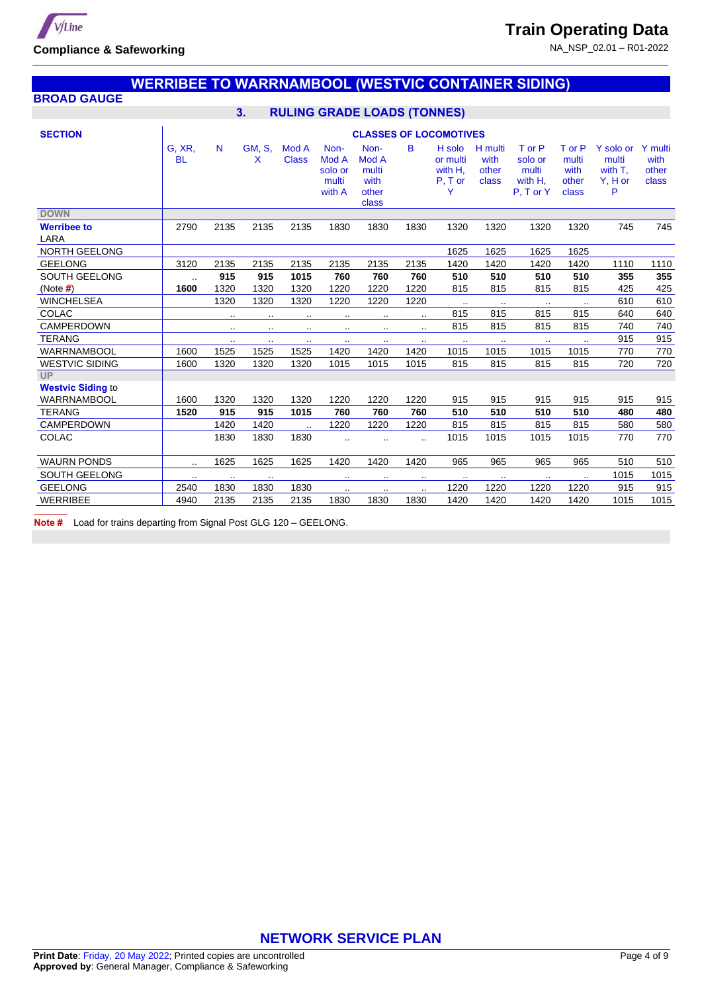

## **WERRIBEE TO WARRNAMBOOL (WESTVIC CONTAINER SIDING)**

## **BROAD GAUGE**

## **3. RULING GRADE LOADS (TONNES)**

| <b>SECTION</b>             | <b>CLASSES OF LOCOMOTIVES</b> |           |                    |                       |                                             |                                                  |           |                                                 |                                   |                                                    |                                           |                                               |                                   |
|----------------------------|-------------------------------|-----------|--------------------|-----------------------|---------------------------------------------|--------------------------------------------------|-----------|-------------------------------------------------|-----------------------------------|----------------------------------------------------|-------------------------------------------|-----------------------------------------------|-----------------------------------|
|                            | G, XR,<br><b>BL</b>           | N         | <b>GM, S.</b><br>X | Mod A<br><b>Class</b> | Non-<br>Mod A<br>solo or<br>multi<br>with A | Non-<br>Mod A<br>multi<br>with<br>other<br>class | в         | H solo<br>or multi<br>with H,<br>$P, T$ or<br>Y | H multi<br>with<br>other<br>class | T or P<br>solo or<br>multi<br>with H,<br>P. T or Y | T or P<br>multi<br>with<br>other<br>class | Y solo or<br>multi<br>with T.<br>Y, H or<br>P | Y multi<br>with<br>other<br>class |
| <b>DOWN</b>                |                               |           |                    |                       |                                             |                                                  |           |                                                 |                                   |                                                    |                                           |                                               |                                   |
| <b>Werribee to</b><br>LARA | 2790                          | 2135      | 2135               | 2135                  | 1830                                        | 1830                                             | 1830      | 1320                                            | 1320                              | 1320                                               | 1320                                      | 745                                           | 745                               |
| <b>NORTH GEELONG</b>       |                               |           |                    |                       |                                             |                                                  |           | 1625                                            | 1625                              | 1625                                               | 1625                                      |                                               |                                   |
| <b>GEELONG</b>             | 3120                          | 2135      | 2135               | 2135                  | 2135                                        | 2135                                             | 2135      | 1420                                            | 1420                              | 1420                                               | 1420                                      | 1110                                          | 1110                              |
| <b>SOUTH GEELONG</b>       | $\sim$ $\sim$                 | 915       | 915                | 1015                  | 760                                         | 760                                              | 760       | 510                                             | 510                               | 510                                                | 510                                       | 355                                           | 355                               |
| (Note $#$ )                | 1600                          | 1320      | 1320               | 1320                  | 1220                                        | 1220                                             | 1220      | 815                                             | 815                               | 815                                                | 815                                       | 425                                           | 425                               |
| <b>WINCHELSEA</b>          |                               | 1320      | 1320               | 1320                  | 1220                                        | 1220                                             | 1220      | $\ddot{\phantom{a}}$                            | $\sim$                            | $\cdots$                                           | $\cdot$ .                                 | 610                                           | 610                               |
| <b>COLAC</b>               |                               |           | $\cdot$ .          | $\cdot$ .             | $\cdot$ .                                   | $\cdot$ .                                        | $\ddotsc$ | 815                                             | 815                               | 815                                                | 815                                       | 640                                           | 640                               |
| <b>CAMPERDOWN</b>          |                               | $\sim$    | $\cdot$ .          | $\cdot$ .             | $\cdot$ .                                   | $\cdot$ .                                        | $\cdot$ . | 815                                             | 815                               | 815                                                | 815                                       | 740                                           | 740                               |
| <b>TERANG</b>              |                               | $\ddotsc$ | $\sim$ $\sim$      | $\cdot$ .             | $\cdot$ .                                   | $\cdot$ .                                        | $\sim$    | $\cdot$ .                                       | $\ldots$                          | $\cdot$ .                                          | $\cdot$ .                                 | 915                                           | 915                               |
| WARRNAMBOOL                | 1600                          | 1525      | 1525               | 1525                  | 1420                                        | 1420                                             | 1420      | 1015                                            | 1015                              | 1015                                               | 1015                                      | 770                                           | 770                               |
| <b>WESTVIC SIDING</b>      | 1600                          | 1320      | 1320               | 1320                  | 1015                                        | 1015                                             | 1015      | 815                                             | 815                               | 815                                                | 815                                       | 720                                           | 720                               |
| UP                         |                               |           |                    |                       |                                             |                                                  |           |                                                 |                                   |                                                    |                                           |                                               |                                   |
| <b>Westvic Siding to</b>   |                               |           |                    |                       |                                             |                                                  |           |                                                 |                                   |                                                    |                                           |                                               |                                   |
| <b>WARRNAMBOOL</b>         | 1600                          | 1320      | 1320               | 1320                  | 1220                                        | 1220                                             | 1220      | 915                                             | 915                               | 915                                                | 915                                       | 915                                           | 915                               |
| <b>TERANG</b>              | 1520                          | 915       | 915                | 1015                  | 760                                         | 760                                              | 760       | 510                                             | 510                               | 510                                                | 510                                       | 480                                           | 480                               |
| <b>CAMPERDOWN</b>          |                               | 1420      | 1420               | $\ddotsc$             | 1220                                        | 1220                                             | 1220      | 815                                             | 815                               | 815                                                | 815                                       | 580                                           | 580                               |
| <b>COLAC</b>               |                               | 1830      | 1830               | 1830                  | $\ddot{\phantom{a}}$                        |                                                  | $\ddotsc$ | 1015                                            | 1015                              | 1015                                               | 1015                                      | 770                                           | 770                               |
| <b>WAURN PONDS</b>         | $\cdot$ .                     | 1625      | 1625               | 1625                  | 1420                                        | 1420                                             | 1420      | 965                                             | 965                               | 965                                                | 965                                       | 510                                           | 510                               |
| <b>SOUTH GEELONG</b>       | $\sim$ $\sim$                 | $\ddotsc$ | $\sim$ $\sim$      |                       | $\cdot$ .                                   | $\cdot$ .                                        | $\cdots$  | $\cdot$ .                                       | $\sim$                            | $\cdot$ .                                          | $\cdot$ .                                 | 1015                                          | 1015                              |
| <b>GEELONG</b>             | 2540                          | 1830      | 1830               | 1830                  | $\sim$ $\sim$                               | $\cdot$ .                                        | $\ddotsc$ | 1220                                            | 1220                              | 1220                                               | 1220                                      | 915                                           | 915                               |
| <b>WERRIBEE</b>            | 4940                          | 2135      | 2135               | 2135                  | 1830                                        | 1830                                             | 1830      | 1420                                            | 1420                              | 1420                                               | 1420                                      | 1015                                          | 1015                              |

**Note #** Load for trains departing from Signal Post GLG 120 – GEELONG.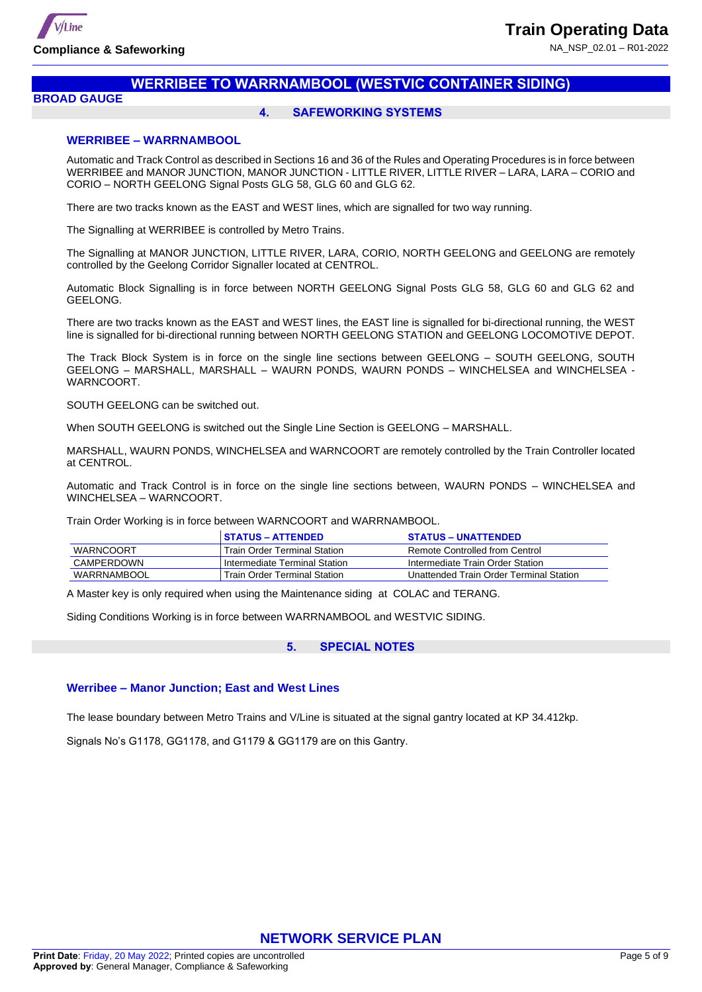

## **WERRIBEE TO WARRNAMBOOL (WESTVIC CONTAINER SIDING)**

#### **BROAD GAUGE**

#### **4. SAFEWORKING SYSTEMS**

#### **WERRIBEE – WARRNAMBOOL**

Automatic and Track Control as described in Sections 16 and 36 of the Rules and Operating Procedures is in force between WERRIBEE and MANOR JUNCTION, MANOR JUNCTION - LITTLE RIVER, LITTLE RIVER – LARA, LARA – CORIO and CORIO – NORTH GEELONG Signal Posts GLG 58, GLG 60 and GLG 62.

There are two tracks known as the EAST and WEST lines, which are signalled for two way running.

The Signalling at WERRIBEE is controlled by Metro Trains.

The Signalling at MANOR JUNCTION, LITTLE RIVER, LARA, CORIO, NORTH GEELONG and GEELONG are remotely controlled by the Geelong Corridor Signaller located at CENTROL.

Automatic Block Signalling is in force between NORTH GEELONG Signal Posts GLG 58, GLG 60 and GLG 62 and GEELONG.

There are two tracks known as the EAST and WEST lines, the EAST line is signalled for bi-directional running, the WEST line is signalled for bi-directional running between NORTH GEELONG STATION and GEELONG LOCOMOTIVE DEPOT.

The Track Block System is in force on the single line sections between GEELONG – SOUTH GEELONG, SOUTH GEELONG – MARSHALL, MARSHALL – WAURN PONDS, WAURN PONDS – WINCHELSEA and WINCHELSEA - WARNCOORT.

SOUTH GEELONG can be switched out.

When SOUTH GEELONG is switched out the Single Line Section is GEELONG – MARSHALL.

MARSHALL, WAURN PONDS, WINCHELSEA and WARNCOORT are remotely controlled by the Train Controller located at CENTROL.

Automatic and Track Control is in force on the single line sections between, WAURN PONDS – WINCHELSEA and WINCHELSEA – WARNCOORT.

Train Order Working is in force between WARNCOORT and WARRNAMBOOL.

|                  | STATUS – ATTENDED             | <b>STATUS – UNATTENDED</b>              |
|------------------|-------------------------------|-----------------------------------------|
| <b>WARNCOORT</b> | Train Order Terminal Station  | Remote Controlled from Centrol          |
| CAMPERDOWN       | Intermediate Terminal Station | Intermediate Train Order Station        |
| WARRNAMBOOL      | Train Order Terminal Station  | Unattended Train Order Terminal Station |

A Master key is only required when using the Maintenance siding at COLAC and TERANG.

Siding Conditions Working is in force between WARRNAMBOOL and WESTVIC SIDING.

#### **5. SPECIAL NOTES**

#### **Werribee – Manor Junction; East and West Lines**

The lease boundary between Metro Trains and V/Line is situated at the signal gantry located at KP 34.412kp.

Signals No's G1178, GG1178, and G1179 & GG1179 are on this Gantry.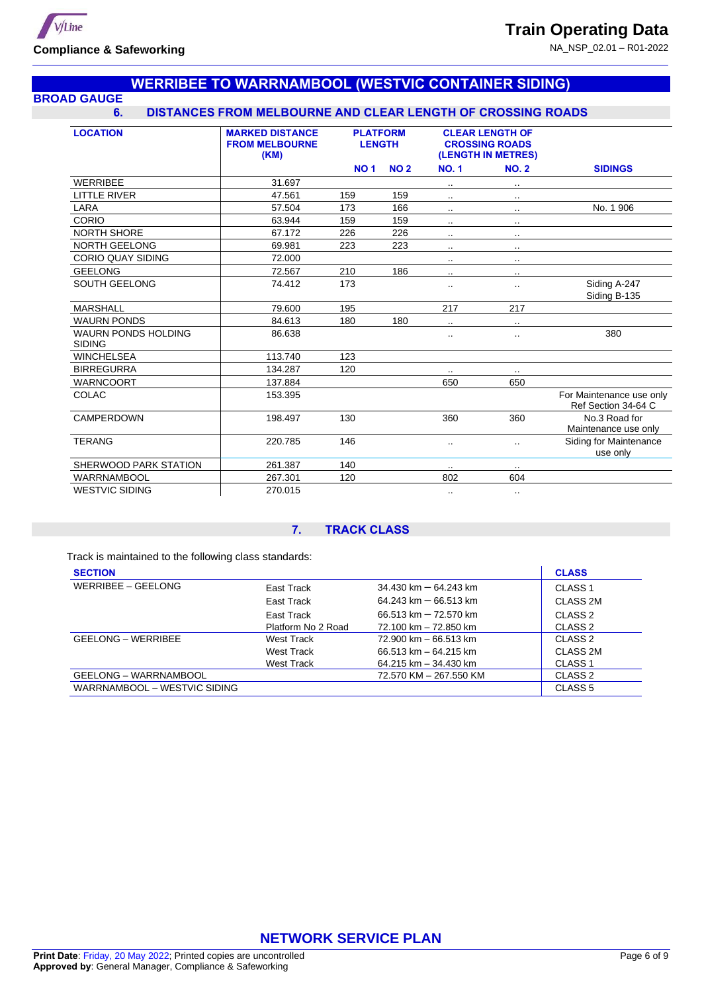

### **WERRIBEE TO WARRNAMBOOL (WESTVIC CONTAINER SIDING) BROAD GAUGE**

### **6. DISTANCES FROM MELBOURNE AND CLEAR LENGTH OF CROSSING ROADS**

| <b>LOCATION</b>                             | <b>MARKED DISTANCE</b><br><b>FROM MELBOURNE</b><br>(KM) | <b>PLATFORM</b><br><b>LENGTH</b> |            | <b>CLEAR LENGTH OF</b><br><b>CROSSING ROADS</b><br>(LENGTH IN METRES) |                      |                                                 |
|---------------------------------------------|---------------------------------------------------------|----------------------------------|------------|-----------------------------------------------------------------------|----------------------|-------------------------------------------------|
|                                             |                                                         | <b>NO1</b>                       | <b>NO2</b> | <b>NO.1</b>                                                           | <b>NO. 2</b>         | <b>SIDINGS</b>                                  |
| <b>WERRIBEE</b>                             | 31.697                                                  |                                  |            |                                                                       |                      |                                                 |
| <b>LITTLE RIVER</b>                         | 47.561                                                  | 159                              | 159        | $\sim$                                                                | $\cdot$ .            |                                                 |
| LARA                                        | 57.504                                                  | 173                              | 166        |                                                                       |                      | No. 1906                                        |
| CORIO                                       | 63.944                                                  | 159                              | 159        |                                                                       | $\ddot{\phantom{a}}$ |                                                 |
| <b>NORTH SHORE</b>                          | 67.172                                                  | 226                              | 226        | $\cdot$ .                                                             | $\cdot$ .            |                                                 |
| <b>NORTH GEELONG</b>                        | 69.981                                                  | 223                              | 223        |                                                                       | $\cdot$ .            |                                                 |
| <b>CORIO QUAY SIDING</b>                    | 72.000                                                  |                                  |            | $\cdot$ .                                                             | $\cdot$ .            |                                                 |
| <b>GEELONG</b>                              | 72.567                                                  | 210                              | 186        | $\cdot$ .                                                             | ٠.                   |                                                 |
| <b>SOUTH GEELONG</b>                        | 74.412                                                  | 173                              |            |                                                                       | $\ddotsc$            | Siding A-247<br>Siding B-135                    |
| <b>MARSHALL</b>                             | 79.600                                                  | 195                              |            | 217                                                                   | 217                  |                                                 |
| <b>WAURN PONDS</b>                          | 84.613                                                  | 180                              | 180        | $\ddotsc$                                                             | $\cdot$ .            |                                                 |
| <b>WAURN PONDS HOLDING</b><br><b>SIDING</b> | 86.638                                                  |                                  |            | $\cdot$ .                                                             |                      | 380                                             |
| <b>WINCHELSEA</b>                           | 113.740                                                 | 123                              |            |                                                                       |                      |                                                 |
| <b>BIRREGURRA</b>                           | 134.287                                                 | 120                              |            |                                                                       |                      |                                                 |
| <b>WARNCOORT</b>                            | 137.884                                                 |                                  |            | 650                                                                   | 650                  |                                                 |
| <b>COLAC</b>                                | 153.395                                                 |                                  |            |                                                                       |                      | For Maintenance use only<br>Ref Section 34-64 C |
| CAMPERDOWN                                  | 198.497                                                 | 130                              |            | 360                                                                   | 360                  | No.3 Road for<br>Maintenance use only           |
| <b>TERANG</b>                               | 220.785                                                 | 146                              |            | ۰.                                                                    | $\ddotsc$            | Siding for Maintenance<br>use only              |
| SHERWOOD PARK STATION                       | 261.387                                                 | 140                              |            | $\cdot$ .                                                             | $\ddotsc$            |                                                 |
| WARRNAMBOOL                                 | 267.301                                                 | 120                              |            | 802                                                                   | 604                  |                                                 |
| <b>WESTVIC SIDING</b>                       | 270.015                                                 |                                  |            | $\cdot$ .                                                             | ٠.                   |                                                 |

#### **7. TRACK CLASS**

Track is maintained to the following class standards:

| <b>SECTION</b>               |                    |                                         | <b>CLASS</b>       |
|------------------------------|--------------------|-----------------------------------------|--------------------|
| WERRIBEE - GEELONG           | East Track         | $34.430 \text{ km} - 64.243 \text{ km}$ | CLASS <sub>1</sub> |
|                              | East Track         | $64.243 \text{ km} - 66.513 \text{ km}$ | CLASS 2M           |
|                              | East Track         | 66.513 km - 72.570 km                   | CLASS <sub>2</sub> |
|                              | Platform No 2 Road | 72.100 km - 72.850 km                   | CLASS <sub>2</sub> |
| <b>GEELONG – WERRIBEE</b>    | West Track         | 72.900 km - 66.513 km                   | CLASS <sub>2</sub> |
|                              | West Track         | $66.513 \text{ km} - 64.215 \text{ km}$ | CLASS 2M           |
|                              | West Track         | 64.215 km - 34.430 km                   | CLASS <sub>1</sub> |
| GEELONG - WARRNAMBOOL        |                    | 72.570 KM - 267.550 KM                  | CLASS <sub>2</sub> |
| WARRNAMBOOL - WESTVIC SIDING |                    |                                         | CLASS <sub>5</sub> |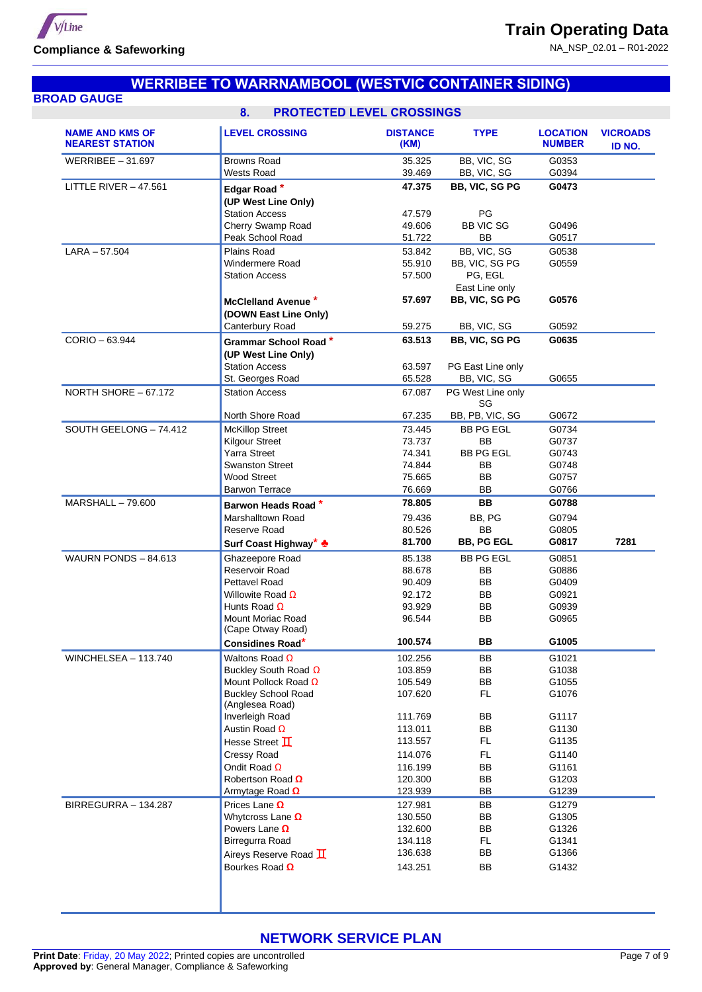V/Line **Compliance & Safeworking**

NA\_NSP\_02.01 – R01-2022

|                                                  | <b>WERRIBEE TO WARRNAMBOOL (WESTVIC CONTAINER SIDING)</b>                    |                         |                               |                                  |                           |
|--------------------------------------------------|------------------------------------------------------------------------------|-------------------------|-------------------------------|----------------------------------|---------------------------|
| <b>BROAD GAUGE</b>                               |                                                                              |                         |                               |                                  |                           |
|                                                  | <b>PROTECTED LEVEL CROSSINGS</b><br>8 <sub>1</sub>                           |                         |                               |                                  |                           |
| <b>NAME AND KMS OF</b><br><b>NEAREST STATION</b> | <b>LEVEL CROSSING</b>                                                        | <b>DISTANCE</b><br>(KM) | <b>TYPE</b>                   | <b>LOCATION</b><br><b>NUMBER</b> | <b>VICROADS</b><br>ID NO. |
| WERRIBEE $-31.697$                               | <b>Browns Road</b>                                                           | 35.325                  | BB, VIC, SG                   | G0353                            |                           |
|                                                  | <b>Wests Road</b>                                                            | 39.469                  | BB, VIC, SG                   | G0394                            |                           |
| LITTLE RIVER $-47.561$                           | Edgar Road*                                                                  | 47.375                  | BB, VIC, SG PG                | G0473                            |                           |
|                                                  | (UP West Line Only)                                                          |                         |                               |                                  |                           |
|                                                  | <b>Station Access</b>                                                        | 47.579                  | PG<br><b>BB VIC SG</b>        |                                  |                           |
|                                                  | Cherry Swamp Road<br>Peak School Road                                        | 49.606<br>51.722        | BB                            | G0496<br>G0517                   |                           |
| $LARA - 57.504$                                  | Plains Road                                                                  | 53.842                  | BB, VIC, SG                   | G0538                            |                           |
|                                                  | <b>Windermere Road</b>                                                       | 55.910                  | BB, VIC, SG PG                | G0559                            |                           |
|                                                  | <b>Station Access</b>                                                        | 57.500                  | PG, EGL                       |                                  |                           |
|                                                  |                                                                              |                         | East Line only                |                                  |                           |
|                                                  | McClelland Avenue *                                                          | 57.697                  | BB, VIC, SG PG                | G0576                            |                           |
|                                                  | (DOWN East Line Only)                                                        |                         |                               |                                  |                           |
|                                                  | Canterbury Road                                                              | 59.275                  | BB, VIC, SG                   | G0592                            |                           |
| CORIO - 63.944                                   | Grammar School Road *                                                        | 63.513                  | BB, VIC, SG PG                | G0635                            |                           |
|                                                  | (UP West Line Only)                                                          |                         |                               |                                  |                           |
|                                                  | <b>Station Access</b>                                                        | 63.597                  | PG East Line only             |                                  |                           |
|                                                  | St. Georges Road                                                             | 65.528                  | BB, VIC, SG                   | G0655                            |                           |
| NORTH SHORE - 67.172                             | <b>Station Access</b>                                                        | 67.087                  | PG West Line only<br>SG       |                                  |                           |
|                                                  | North Shore Road                                                             | 67.235                  | BB, PB, VIC, SG               | G0672                            |                           |
| SOUTH GEELONG - 74.412                           | <b>McKillop Street</b>                                                       | 73.445<br>73.737        | <b>BB PG EGL</b><br><b>BB</b> | G0734<br>G0737                   |                           |
|                                                  | <b>Kilgour Street</b><br><b>Yarra Street</b>                                 | 74.341                  | <b>BB PG EGL</b>              | G0743                            |                           |
|                                                  | <b>Swanston Street</b>                                                       | 74.844                  | BB                            | G0748                            |                           |
|                                                  | <b>Wood Street</b>                                                           | 75.665                  | <b>BB</b>                     | G0757                            |                           |
|                                                  | <b>Barwon Terrace</b>                                                        | 76.669                  | <b>BB</b>                     | G0766                            |                           |
| <b>MARSHALL - 79.600</b>                         | Barwon Heads Road*                                                           | 78.805                  | <b>BB</b>                     | G0788                            |                           |
|                                                  | Marshalltown Road                                                            | 79.436                  | BB, PG                        | G0794                            |                           |
|                                                  | Reserve Road                                                                 | 80.526                  | <b>BB</b>                     | G0805                            |                           |
|                                                  | Surf Coast Highway* +                                                        | 81.700                  | <b>BB, PG EGL</b>             | G0817                            | 7281                      |
| WAURN PONDS - 84.613                             | Ghazeepore Road                                                              | 85.138                  | <b>BB PG EGL</b>              | G0851                            |                           |
|                                                  | Reservoir Road                                                               | 88.678                  | BB                            | G0886                            |                           |
|                                                  | Pettavel Road                                                                | 90.409                  | BB                            | G0409                            |                           |
|                                                  | Willowite Road $\Omega$                                                      | 92.172                  | BB                            | G0921                            |                           |
|                                                  | Hunts Road $\Omega$                                                          | 93.929                  | BB                            | G0939                            |                           |
|                                                  | <b>Mount Moriac Road</b>                                                     | 96.544                  | BB                            | G0965                            |                           |
|                                                  | (Cape Otway Road)                                                            |                         |                               |                                  |                           |
|                                                  | Considines Road*                                                             | 100.574                 | BB                            | G1005                            |                           |
| WINCHELSEA - 113.740                             | Waltons Road $\Omega$                                                        | 102.256                 | BB                            | G1021                            |                           |
|                                                  | Buckley South Road $\Omega$                                                  | 103.859                 | BB                            | G1038                            |                           |
|                                                  | Mount Pollock Road $\Omega$<br><b>Buckley School Road</b><br>(Anglesea Road) | 105.549<br>107.620      | BB<br>FL.                     | G1055<br>G1076                   |                           |
|                                                  | Inverleigh Road                                                              | 111.769                 | BB                            | G1117                            |                           |
|                                                  | Austin Road $\Omega$                                                         | 113.011                 | BB                            | G1130                            |                           |
|                                                  | Hesse Street I                                                               | 113.557                 | <b>FL</b>                     | G1135                            |                           |
|                                                  | Cressy Road                                                                  | 114.076                 | FL.                           | G1140                            |                           |
|                                                  | Ondit Road $\Omega$                                                          | 116.199                 | BB                            | G1161                            |                           |
|                                                  | Robertson Road $\Omega$                                                      | 120.300                 | BB                            | G1203                            |                           |
|                                                  | Armytage Road $\Omega$                                                       | 123.939                 | BB                            | G1239                            |                           |
| BIRREGURRA - 134.287                             | Prices Lane $\Omega$                                                         | 127.981                 | BB                            | G1279                            |                           |
|                                                  | Whytcross Lane $\Omega$                                                      | 130.550                 | BB                            | G1305                            |                           |
|                                                  | Powers Lane $\Omega$                                                         | 132.600                 | BB                            | G1326                            |                           |
|                                                  | Birregurra Road                                                              | 134.118                 | FL.                           | G1341                            |                           |
|                                                  |                                                                              |                         |                               |                                  |                           |
|                                                  | Aireys Reserve Road $\mathbf \Pi$                                            | 136.638                 | BB                            | G1366                            |                           |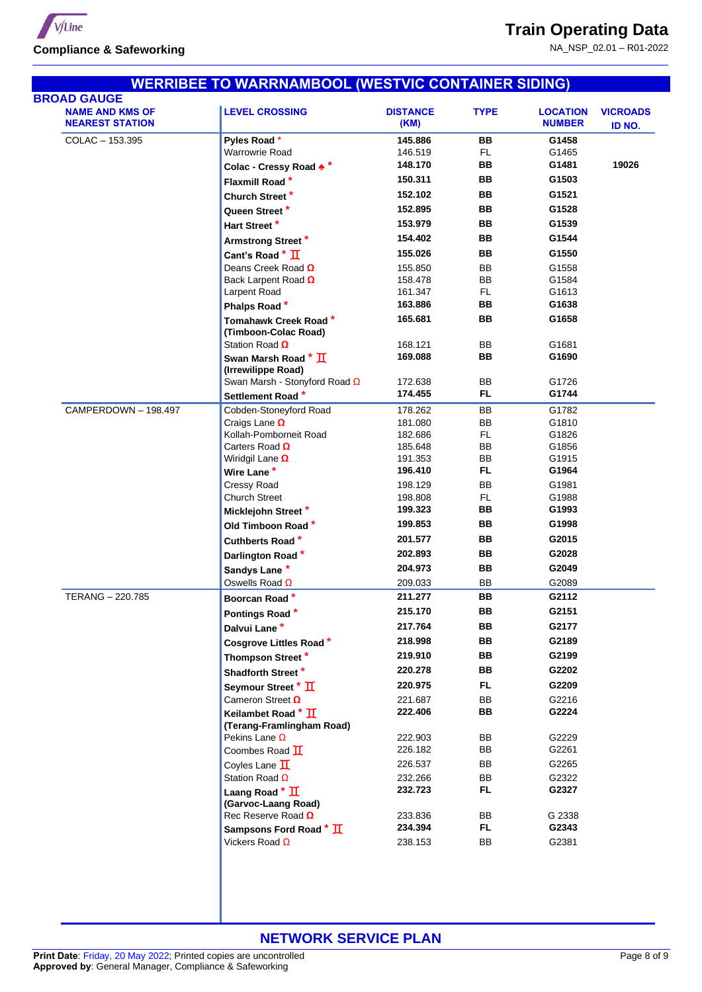

| <b>BROAD GAUGE</b>                               |                                                                 |                         |                 |                                  |                           |
|--------------------------------------------------|-----------------------------------------------------------------|-------------------------|-----------------|----------------------------------|---------------------------|
|                                                  |                                                                 |                         |                 |                                  |                           |
| <b>NAME AND KMS OF</b><br><b>NEAREST STATION</b> | <b>LEVEL CROSSING</b>                                           | <b>DISTANCE</b><br>(KM) | <b>TYPE</b>     | <b>LOCATION</b><br><b>NUMBER</b> | <b>VICROADS</b><br>ID NO. |
| COLAC - 153.395                                  | Pyles Road *                                                    | 145.886                 | BB              | G1458                            |                           |
|                                                  | Warrowrie Road                                                  | 146.519                 | <b>FL</b>       | G1465                            |                           |
|                                                  | Colac - Cressy Road **                                          | 148.170                 | BB              | G1481                            | 19026                     |
|                                                  | Flaxmill Road*                                                  | 150.311                 | BB              | G1503                            |                           |
|                                                  | Church Street*                                                  | 152.102                 | BB              | G1521                            |                           |
|                                                  | Queen Street*                                                   | 152.895                 | BB              | G1528                            |                           |
|                                                  | Hart Street*                                                    | 153.979                 | BB              | G1539                            |                           |
|                                                  | Armstrong Street*                                               | 154.402                 | BB              | G1544                            |                           |
|                                                  | Cant's Road * II                                                | 155.026                 | BB              | G1550                            |                           |
|                                                  | Deans Creek Road $\Omega$                                       | 155.850                 | BB              | G1558                            |                           |
|                                                  | Back Larpent Road $\Omega$                                      | 158.478                 | BB              | G1584                            |                           |
|                                                  | Larpent Road                                                    | 161.347                 | <b>FL</b>       | G1613                            |                           |
|                                                  | Phalps Road*                                                    | 163.886                 | BB              | G1638                            |                           |
|                                                  | Tomahawk Creek Road*<br>(Timboon-Colac Road)                    | 165.681                 | BB              | G1658                            |                           |
|                                                  | Station Road $\Omega$                                           | 168.121                 | BB              | G1681                            |                           |
|                                                  | Swan Marsh Road * $\overline{\mathrm{H}}$<br>(Irrewilippe Road) | 169.088                 | BB              | G1690                            |                           |
|                                                  | Swan Marsh - Stonyford Road $\Omega$                            | 172.638                 | ВB              | G1726                            |                           |
|                                                  | Settlement Road*                                                | 174.455                 | FL.             | G1744                            |                           |
| CAMPERDOWN - 198.497                             | Cobden-Stoneyford Road                                          | 178.262                 | BB              | G1782                            |                           |
|                                                  | Craigs Lane $\Omega$                                            | 181.080                 | BB              | G1810                            |                           |
|                                                  | Kollah-Pomborneit Road                                          | 182.686                 | <b>FL</b>       | G1826                            |                           |
|                                                  | Carters Road $\Omega$                                           | 185.648                 | BB              | G1856                            |                           |
|                                                  | Wiridgil Lane $\Omega$                                          | 191.353<br>196.410      | BB<br><b>FL</b> | G1915<br>G1964                   |                           |
|                                                  | Wire Lane*                                                      |                         |                 |                                  |                           |
|                                                  | <b>Cressy Road</b><br><b>Church Street</b>                      | 198.129                 | BB              | G1981<br>G1988                   |                           |
|                                                  |                                                                 | 198.808<br>199.323      | <b>FL</b><br>BB | G1993                            |                           |
|                                                  | Micklejohn Street*                                              | 199.853                 | BB              | G1998                            |                           |
|                                                  | Old Timboon Road*                                               | 201.577                 | BB              | G2015                            |                           |
|                                                  | Cuthberts Road*                                                 | 202.893                 | BB              | G2028                            |                           |
|                                                  | Darlington Road*                                                | 204.973                 | BB              | G2049                            |                           |
|                                                  | Sandys Lane*                                                    |                         |                 |                                  |                           |
| TERANG - 220.785                                 | Oswells Road $\Omega$                                           | 209.033                 | BB<br>BB        | G2089                            |                           |
|                                                  | Boorcan Road*                                                   | 211.277                 |                 | G2112                            |                           |
|                                                  | Pontings Road*                                                  | 215.170                 | BB              | G2151                            |                           |
|                                                  | Dalvui Lane*                                                    | 217.764                 | BB              | G2177                            |                           |
|                                                  | <b>Cosgrove Littles Road*</b>                                   | 218.998                 | BB              | G2189                            |                           |
|                                                  | Thompson Street*                                                | 219.910                 | BB              | G2199                            |                           |
|                                                  | Shadforth Street*                                               | 220.278                 | BB              | G2202                            |                           |
|                                                  | Seymour Street * II                                             | 220.975                 | <b>FL</b>       | G2209                            |                           |
|                                                  | Cameron Street $\Omega$                                         | 221.687                 | BB              | G2216                            |                           |
|                                                  | Keilambet Road * II<br>(Terang-Framlingham Road)                | 222.406                 | BB              | G2224                            |                           |
|                                                  | Pekins Lane $\Omega$                                            | 222.903                 | BB              | G2229                            |                           |
|                                                  | Coombes Road $\mathbf I$                                        | 226.182                 | BB              | G2261                            |                           |
|                                                  | Coyles Lane $\Pi$                                               | 226.537                 | BB              | G2265                            |                           |
|                                                  | Station Road $\Omega$                                           | 232.266                 | BB              | G2322                            |                           |
|                                                  | Laang Road $*$ $\overline{\mathbf{\Pi}}$<br>(Garvoc-Laang Road) | 232.723                 | FL.             | G2327                            |                           |
|                                                  | Rec Reserve Road $\Omega$                                       | 233.836                 | BB              | G 2338                           |                           |
|                                                  | Sampsons Ford Road * II                                         | 234.394                 | FL.             | G2343                            |                           |
|                                                  |                                                                 |                         |                 |                                  |                           |
|                                                  | Vickers Road $\Omega$                                           | 238.153                 | BB              | G2381                            |                           |